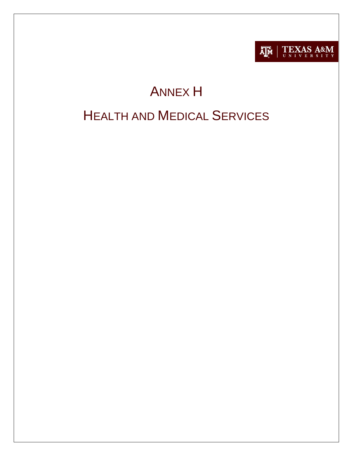

# ANNEX H HEALTH AND MEDICAL SERVICES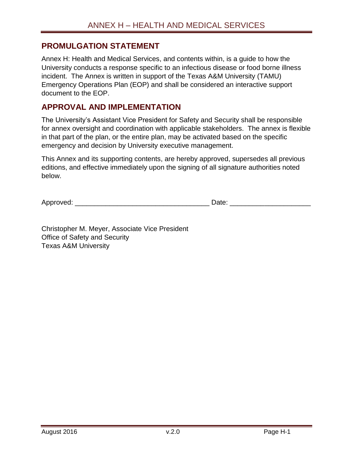## <span id="page-1-0"></span>**PROMULGATION STATEMENT**

Annex H: Health and Medical Services, and contents within, is a guide to how the University conducts a response specific to an infectious disease or food borne illness incident. The Annex is written in support of the Texas A&M University (TAMU) Emergency Operations Plan (EOP) and shall be considered an interactive support document to the EOP.

## <span id="page-1-1"></span>**APPROVAL AND IMPLEMENTATION**

The University's Assistant Vice President for Safety and Security shall be responsible for annex oversight and coordination with applicable stakeholders. The annex is flexible in that part of the plan, or the entire plan, may be activated based on the specific emergency and decision by University executive management.

This Annex and its supporting contents, are hereby approved, supersedes all previous editions, and effective immediately upon the signing of all signature authorities noted below.

Approved: \_\_\_\_\_\_\_\_\_\_\_\_\_\_\_\_\_\_\_\_\_\_\_\_\_\_\_\_\_\_\_\_\_\_\_ Date: \_\_\_\_\_\_\_\_\_\_\_\_\_\_\_\_\_\_\_\_\_

Christopher M. Meyer, Associate Vice President Office of Safety and Security Texas A&M University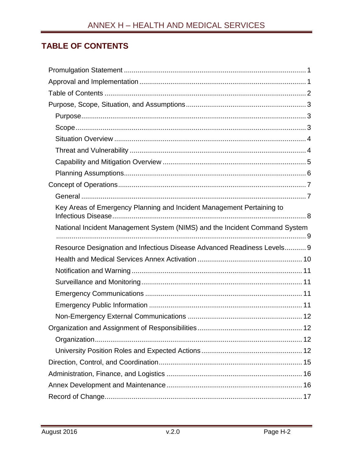# <span id="page-2-0"></span>**TABLE OF CONTENTS**

| Key Areas of Emergency Planning and Incident Management Pertaining to      |
|----------------------------------------------------------------------------|
| National Incident Management System (NIMS) and the Incident Command System |
|                                                                            |
| Resource Designation and Infectious Disease Advanced Readiness Levels 9    |
|                                                                            |
|                                                                            |
|                                                                            |
|                                                                            |
|                                                                            |
|                                                                            |
|                                                                            |
|                                                                            |
|                                                                            |
|                                                                            |
|                                                                            |
|                                                                            |
|                                                                            |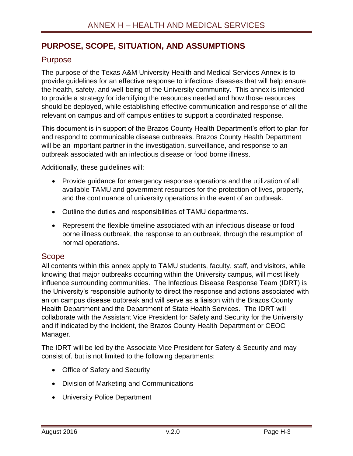# <span id="page-3-0"></span>**PURPOSE, SCOPE, SITUATION, AND ASSUMPTIONS**

## <span id="page-3-1"></span>Purpose

The purpose of the Texas A&M University Health and Medical Services Annex is to provide guidelines for an effective response to infectious diseases that will help ensure the health, safety, and well-being of the University community. This annex is intended to provide a strategy for identifying the resources needed and how those resources should be deployed, while establishing effective communication and response of all the relevant on campus and off campus entities to support a coordinated response.

This document is in support of the Brazos County Health Department's effort to plan for and respond to communicable disease outbreaks. Brazos County Health Department will be an important partner in the investigation, surveillance, and response to an outbreak associated with an infectious disease or food borne illness.

Additionally, these guidelines will:

- Provide guidance for emergency response operations and the utilization of all available TAMU and government resources for the protection of lives, property, and the continuance of university operations in the event of an outbreak.
- Outline the duties and responsibilities of TAMU departments.
- Represent the flexible timeline associated with an infectious disease or food borne illness outbreak, the response to an outbreak, through the resumption of normal operations.

#### <span id="page-3-2"></span>Scope

All contents within this annex apply to TAMU students, faculty, staff, and visitors, while knowing that major outbreaks occurring within the University campus, will most likely influence surrounding communities. The Infectious Disease Response Team (IDRT) is the University's responsible authority to direct the response and actions associated with an on campus disease outbreak and will serve as a liaison with the Brazos County Health Department and the Department of State Health Services. The IDRT will collaborate with the Assistant Vice President for Safety and Security for the University and if indicated by the incident, the Brazos County Health Department or CEOC Manager.

The IDRT will be led by the Associate Vice President for Safety & Security and may consist of, but is not limited to the following departments:

- Office of Safety and Security
- Division of Marketing and Communications
- University Police Department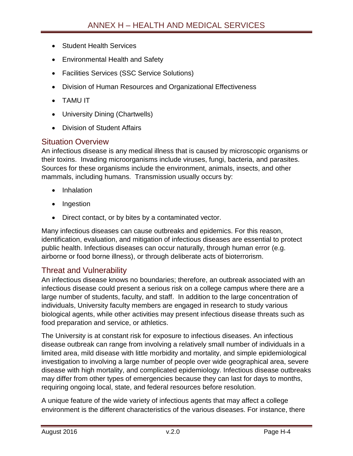- Student Health Services
- Environmental Health and Safety
- Facilities Services (SSC Service Solutions)
- Division of Human Resources and Organizational Effectiveness
- TAMU IT
- University Dining (Chartwells)
- Division of Student Affairs

#### <span id="page-4-0"></span>Situation Overview

An infectious disease is any medical illness that is caused by microscopic organisms or their toxins. Invading microorganisms include viruses, fungi, bacteria, and parasites. Sources for these organisms include the environment, animals, insects, and other mammals, including humans. Transmission usually occurs by:

- Inhalation
- Ingestion
- Direct contact, or by bites by a contaminated vector.

Many infectious diseases can cause outbreaks and epidemics. For this reason, identification, evaluation, and mitigation of infectious diseases are essential to protect public health. Infectious diseases can occur naturally, through human error (e.g. airborne or food borne illness), or through deliberate acts of bioterrorism.

## <span id="page-4-1"></span>Threat and Vulnerability

An infectious disease knows no boundaries; therefore, an outbreak associated with an infectious disease could present a serious risk on a college campus where there are a large number of students, faculty, and staff. In addition to the large concentration of individuals, University faculty members are engaged in research to study various biological agents, while other activities may present infectious disease threats such as food preparation and service, or athletics.

The University is at constant risk for exposure to infectious diseases. An infectious disease outbreak can range from involving a relatively small number of individuals in a limited area, mild disease with little morbidity and mortality, and simple epidemiological investigation to involving a large number of people over wide geographical area, severe disease with high mortality, and complicated epidemiology. Infectious disease outbreaks may differ from other types of emergencies because they can last for days to months, requiring ongoing local, state, and federal resources before resolution.

A unique feature of the wide variety of infectious agents that may affect a college environment is the different characteristics of the various diseases. For instance, there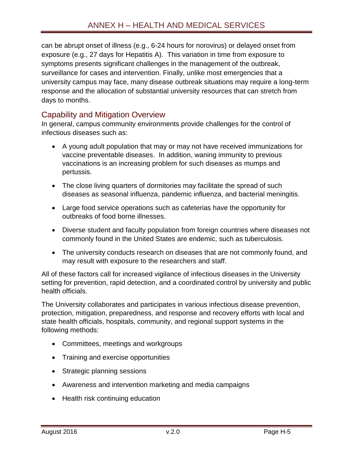can be abrupt onset of illness (e.g., 6-24 hours for norovirus) or delayed onset from exposure (e.g., 27 days for Hepatitis A). This variation in time from exposure to symptoms presents significant challenges in the management of the outbreak, surveillance for cases and intervention. Finally, unlike most emergencies that a university campus may face, many disease outbreak situations may require a long-term response and the allocation of substantial university resources that can stretch from days to months.

## <span id="page-5-0"></span>Capability and Mitigation Overview

In general, campus community environments provide challenges for the control of infectious diseases such as:

- A young adult population that may or may not have received immunizations for vaccine preventable diseases. In addition, waning immunity to previous vaccinations is an increasing problem for such diseases as mumps and pertussis.
- The close living quarters of dormitories may facilitate the spread of such diseases as seasonal influenza, pandemic influenza, and bacterial meningitis.
- Large food service operations such as cafeterias have the opportunity for outbreaks of food borne illnesses.
- Diverse student and faculty population from foreign countries where diseases not commonly found in the United States are endemic, such as tuberculosis.
- The university conducts research on diseases that are not commonly found, and may result with exposure to the researchers and staff.

All of these factors call for increased vigilance of infectious diseases in the University setting for prevention, rapid detection, and a coordinated control by university and public health officials.

The University collaborates and participates in various infectious disease prevention, protection, mitigation, preparedness, and response and recovery efforts with local and state health officials, hospitals, community, and regional support systems in the following methods:

- Committees, meetings and workgroups
- Training and exercise opportunities
- Strategic planning sessions
- Awareness and intervention marketing and media campaigns
- Health risk continuing education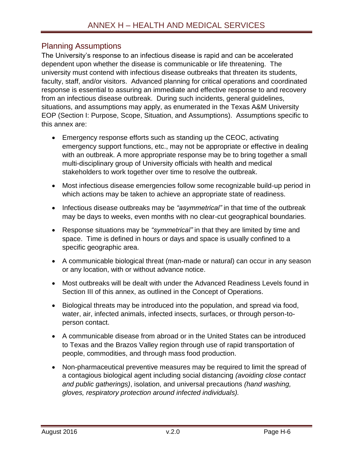## <span id="page-6-0"></span>Planning Assumptions

The University's response to an infectious disease is rapid and can be accelerated dependent upon whether the disease is communicable or life threatening. The university must contend with infectious disease outbreaks that threaten its students, faculty, staff, and/or visitors. Advanced planning for critical operations and coordinated response is essential to assuring an immediate and effective response to and recovery from an infectious disease outbreak. During such incidents, general guidelines, situations, and assumptions may apply, as enumerated in the Texas A&M University EOP (Section I: Purpose, Scope, Situation, and Assumptions). Assumptions specific to this annex are:

- Emergency response efforts such as standing up the CEOC, activating emergency support functions, etc., may not be appropriate or effective in dealing with an outbreak. A more appropriate response may be to bring together a small multi-disciplinary group of University officials with health and medical stakeholders to work together over time to resolve the outbreak.
- Most infectious disease emergencies follow some recognizable build-up period in which actions may be taken to achieve an appropriate state of readiness.
- Infectious disease outbreaks may be "asymmetrical" in that time of the outbreak may be days to weeks, even months with no clear-cut geographical boundaries.
- Response situations may be *"symmetrical"* in that they are limited by time and space. Time is defined in hours or days and space is usually confined to a specific geographic area.
- A communicable biological threat (man-made or natural) can occur in any season or any location, with or without advance notice.
- Most outbreaks will be dealt with under the Advanced Readiness Levels found in Section III of this annex, as outlined in the Concept of Operations.
- Biological threats may be introduced into the population, and spread via food, water, air, infected animals, infected insects, surfaces, or through person-toperson contact.
- A communicable disease from abroad or in the United States can be introduced to Texas and the Brazos Valley region through use of rapid transportation of people, commodities, and through mass food production.
- Non-pharmaceutical preventive measures may be required to limit the spread of a contagious biological agent including social distancing *(avoiding close contact and public gatherings)*, isolation, and universal precautions *(hand washing, gloves, respiratory protection around infected individuals).*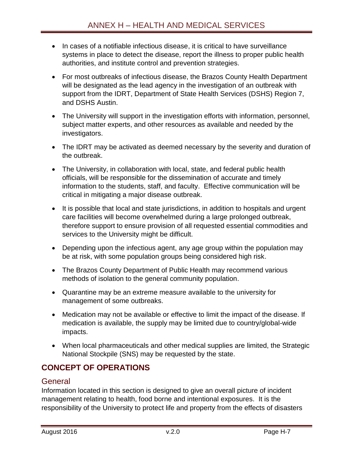- In cases of a notifiable infectious disease, it is critical to have surveillance systems in place to detect the disease, report the illness to proper public health authorities, and institute control and prevention strategies.
- For most outbreaks of infectious disease, the Brazos County Health Department will be designated as the lead agency in the investigation of an outbreak with support from the IDRT, Department of State Health Services (DSHS) Region 7, and DSHS Austin.
- The University will support in the investigation efforts with information, personnel, subject matter experts, and other resources as available and needed by the investigators.
- The IDRT may be activated as deemed necessary by the severity and duration of the outbreak.
- The University, in collaboration with local, state, and federal public health officials, will be responsible for the dissemination of accurate and timely information to the students, staff, and faculty. Effective communication will be critical in mitigating a major disease outbreak.
- It is possible that local and state jurisdictions, in addition to hospitals and urgent care facilities will become overwhelmed during a large prolonged outbreak, therefore support to ensure provision of all requested essential commodities and services to the University might be difficult.
- Depending upon the infectious agent, any age group within the population may be at risk, with some population groups being considered high risk.
- The Brazos County Department of Public Health may recommend various methods of isolation to the general community population.
- Quarantine may be an extreme measure available to the university for management of some outbreaks.
- Medication may not be available or effective to limit the impact of the disease. If medication is available, the supply may be limited due to country/global-wide impacts.
- When local pharmaceuticals and other medical supplies are limited, the Strategic National Stockpile (SNS) may be requested by the state.

# <span id="page-7-0"></span>**CONCEPT OF OPERATIONS**

## <span id="page-7-1"></span>**General**

Information located in this section is designed to give an overall picture of incident management relating to health, food borne and intentional exposures. It is the responsibility of the University to protect life and property from the effects of disasters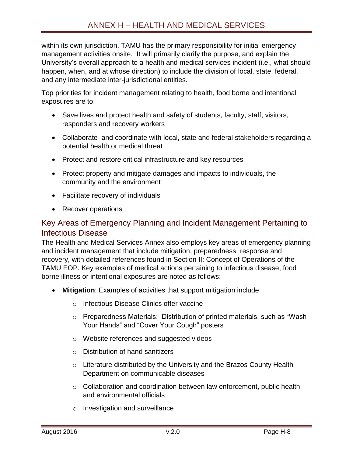within its own jurisdiction. TAMU has the primary responsibility for initial emergency management activities onsite. It will primarily clarify the purpose, and explain the University's overall approach to a health and medical services incident (i.e., what should happen, when, and at whose direction) to include the division of local, state, federal, and any intermediate inter-jurisdictional entities.

Top priorities for incident management relating to health, food borne and intentional exposures are to:

- Save lives and protect health and safety of students, faculty, staff, visitors, responders and recovery workers
- Collaborate and coordinate with local, state and federal stakeholders regarding a potential health or medical threat
- Protect and restore critical infrastructure and key resources
- Protect property and mitigate damages and impacts to individuals, the community and the environment
- Facilitate recovery of individuals
- Recover operations

## <span id="page-8-0"></span>Key Areas of Emergency Planning and Incident Management Pertaining to Infectious Disease

The Health and Medical Services Annex also employs key areas of emergency planning and incident management that include mitigation, preparedness, response and recovery, with detailed references found in Section II: Concept of Operations of the TAMU EOP. Key examples of medical actions pertaining to infectious disease, food borne illness or intentional exposures are noted as follows:

- **Mitigation**: Examples of activities that support mitigation include:
	- o Infectious Disease Clinics offer vaccine
	- o Preparedness Materials: Distribution of printed materials, such as "Wash Your Hands" and "Cover Your Cough" posters
	- o Website references and suggested videos
	- o Distribution of hand sanitizers
	- $\circ$  Literature distributed by the University and the Brazos County Health Department on communicable diseases
	- o Collaboration and coordination between law enforcement, public health and environmental officials
	- o Investigation and surveillance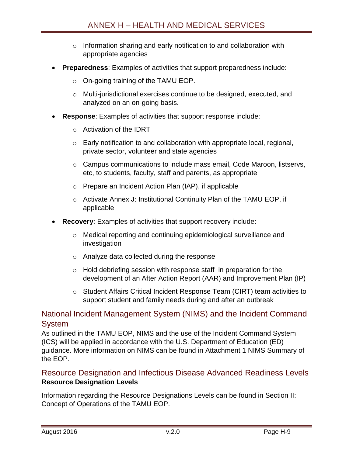- o Information sharing and early notification to and collaboration with appropriate agencies
- **Preparedness**: Examples of activities that support preparedness include:
	- o On-going training of the TAMU EOP.
	- $\circ$  Multi-jurisdictional exercises continue to be designed, executed, and analyzed on an on-going basis.
- **Response**: Examples of activities that support response include:
	- o Activation of the IDRT
	- o Early notification to and collaboration with appropriate local, regional, private sector, volunteer and state agencies
	- o Campus communications to include mass email, Code Maroon, listservs, etc, to students, faculty, staff and parents, as appropriate
	- o Prepare an Incident Action Plan (IAP), if applicable
	- o Activate Annex J: Institutional Continuity Plan of the TAMU EOP, if applicable
- **Recovery**: Examples of activities that support recovery include:
	- o Medical reporting and continuing epidemiological surveillance and investigation
	- o Analyze data collected during the response
	- o Hold debriefing session with response staff in preparation for the development of an After Action Report (AAR) and Improvement Plan (IP)
	- o Student Affairs Critical Incident Response Team (CIRT) team activities to support student and family needs during and after an outbreak

## <span id="page-9-0"></span>National Incident Management System (NIMS) and the Incident Command **System**

As outlined in the TAMU EOP, NIMS and the use of the Incident Command System (ICS) will be applied in accordance with the U.S. Department of Education (ED) guidance. More information on NIMS can be found in Attachment 1 NIMS Summary of the EOP.

## <span id="page-9-1"></span>Resource Designation and Infectious Disease Advanced Readiness Levels **Resource Designation Levels**

Information regarding the Resource Designations Levels can be found in Section II: Concept of Operations of the TAMU EOP.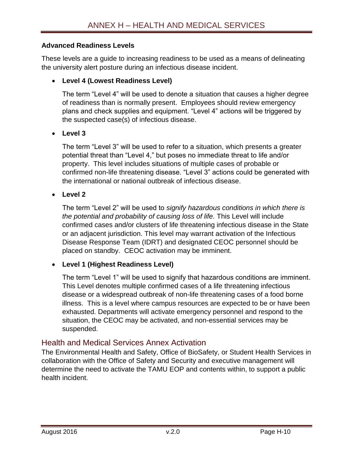#### **Advanced Readiness Levels**

These levels are a guide to increasing readiness to be used as a means of delineating the university alert posture during an infectious disease incident.

#### **Level 4 (Lowest Readiness Level)**

The term "Level 4" will be used to denote a situation that causes a higher degree of readiness than is normally present. Employees should review emergency plans and check supplies and equipment. "Level 4" actions will be triggered by the suspected case(s) of infectious disease.

#### **Level 3**

The term "Level 3" will be used to refer to a situation, which presents a greater potential threat than "Level 4," but poses no immediate threat to life and/or property. This level includes situations of multiple cases of probable or confirmed non-life threatening disease. "Level 3" actions could be generated with the international or national outbreak of infectious disease.

#### **Level 2**

The term "Level 2" will be used to *signify hazardous conditions in which there is the potential and probability of causing loss of life.* This Level will include confirmed cases and/or clusters of life threatening infectious disease in the State or an adjacent jurisdiction. This level may warrant activation of the Infectious Disease Response Team (IDRT) and designated CEOC personnel should be placed on standby. CEOC activation may be imminent.

#### **Level 1 (Highest Readiness Level)**

The term "Level 1" will be used to signify that hazardous conditions are imminent. This Level denotes multiple confirmed cases of a life threatening infectious disease or a widespread outbreak of non-life threatening cases of a food borne illness. This is a level where campus resources are expected to be or have been exhausted. Departments will activate emergency personnel and respond to the situation, the CEOC may be activated, and non-essential services may be suspended.

#### <span id="page-10-0"></span>Health and Medical Services Annex Activation

The Environmental Health and Safety, Office of BioSafety, or Student Health Services in collaboration with the Office of Safety and Security and executive management will determine the need to activate the TAMU EOP and contents within, to support a public health incident.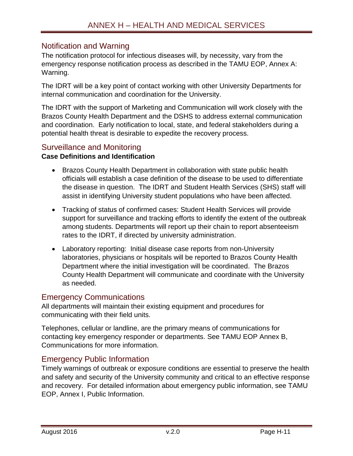## <span id="page-11-0"></span>Notification and Warning

The notification protocol for infectious diseases will, by necessity, vary from the emergency response notification process as described in the TAMU EOP, Annex A: Warning.

The IDRT will be a key point of contact working with other University Departments for internal communication and coordination for the University.

The IDRT with the support of Marketing and Communication will work closely with the Brazos County Health Department and the DSHS to address external communication and coordination. Early notification to local, state, and federal stakeholders during a potential health threat is desirable to expedite the recovery process.

## <span id="page-11-1"></span>Surveillance and Monitoring

#### **Case Definitions and Identification**

- Brazos County Health Department in collaboration with state public health officials will establish a case definition of the disease to be used to differentiate the disease in question. The IDRT and Student Health Services (SHS) staff will assist in identifying University student populations who have been affected.
- Tracking of status of confirmed cases: Student Health Services will provide support for surveillance and tracking efforts to identify the extent of the outbreak among students. Departments will report up their chain to report absenteeism rates to the IDRT, if directed by university administration.
- Laboratory reporting: Initial disease case reports from non-University laboratories, physicians or hospitals will be reported to Brazos County Health Department where the initial investigation will be coordinated. The Brazos County Health Department will communicate and coordinate with the University as needed.

## <span id="page-11-2"></span>Emergency Communications

All departments will maintain their existing equipment and procedures for communicating with their field units.

Telephones, cellular or landline, are the primary means of communications for contacting key emergency responder or departments. See TAMU EOP Annex B, Communications for more information.

## <span id="page-11-3"></span>Emergency Public Information

Timely warnings of outbreak or exposure conditions are essential to preserve the health and safety and security of the University community and critical to an effective response and recovery. For detailed information about emergency public information, see TAMU EOP, Annex I, Public Information.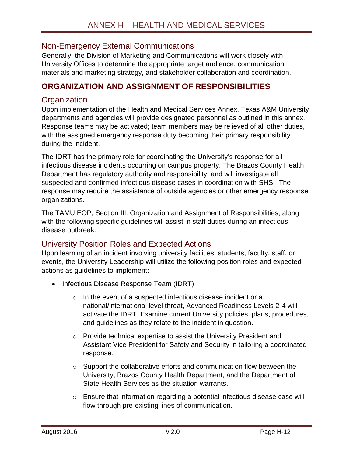## <span id="page-12-0"></span>Non-Emergency External Communications

Generally, the Division of Marketing and Communications will work closely with University Offices to determine the appropriate target audience, communication materials and marketing strategy, and stakeholder collaboration and coordination.

## <span id="page-12-1"></span>**ORGANIZATION AND ASSIGNMENT OF RESPONSIBILITIES**

## <span id="page-12-2"></span>**Organization**

Upon implementation of the Health and Medical Services Annex, Texas A&M University departments and agencies will provide designated personnel as outlined in this annex. Response teams may be activated; team members may be relieved of all other duties, with the assigned emergency response duty becoming their primary responsibility during the incident.

The IDRT has the primary role for coordinating the University's response for all infectious disease incidents occurring on campus property. The Brazos County Health Department has regulatory authority and responsibility, and will investigate all suspected and confirmed infectious disease cases in coordination with SHS. The response may require the assistance of outside agencies or other emergency response organizations.

The TAMU EOP, Section III: Organization and Assignment of Responsibilities; along with the following specific guidelines will assist in staff duties during an infectious disease outbreak.

#### <span id="page-12-3"></span>University Position Roles and Expected Actions

Upon learning of an incident involving university facilities, students, faculty, staff, or events, the University Leadership will utilize the following position roles and expected actions as guidelines to implement:

- Infectious Disease Response Team (IDRT)
	- o In the event of a suspected infectious disease incident or a national/international level threat, Advanced Readiness Levels 2-4 will activate the IDRT. Examine current University policies, plans, procedures, and guidelines as they relate to the incident in question.
	- o Provide technical expertise to assist the University President and Assistant Vice President for Safety and Security in tailoring a coordinated response.
	- o Support the collaborative efforts and communication flow between the University, Brazos County Health Department, and the Department of State Health Services as the situation warrants.
	- o Ensure that information regarding a potential infectious disease case will flow through pre-existing lines of communication.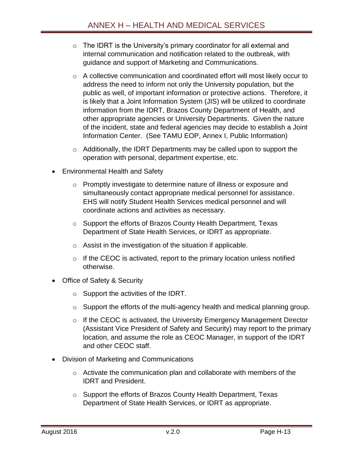- $\circ$  The IDRT is the University's primary coordinator for all external and internal communication and notification related to the outbreak, with guidance and support of Marketing and Communications.
- o A collective communication and coordinated effort will most likely occur to address the need to inform not only the University population, but the public as well, of important information or protective actions. Therefore, it is likely that a Joint Information System (JIS) will be utilized to coordinate information from the IDRT, Brazos County Department of Health, and other appropriate agencies or University Departments. Given the nature of the incident, state and federal agencies may decide to establish a Joint Information Center. (See TAMU EOP, Annex I, Public Information)
- o Additionally, the IDRT Departments may be called upon to support the operation with personal, department expertise, etc.
- Environmental Health and Safety
	- o Promptly investigate to determine nature of illness or exposure and simultaneously contact appropriate medical personnel for assistance. EHS will notify Student Health Services medical personnel and will coordinate actions and activities as necessary.
	- o Support the efforts of Brazos County Health Department, Texas Department of State Health Services, or IDRT as appropriate.
	- o Assist in the investigation of the situation if applicable.
	- $\circ$  If the CEOC is activated, report to the primary location unless notified otherwise.
- Office of Safety & Security
	- $\circ$  Support the activities of the IDRT.
	- o Support the efforts of the multi-agency health and medical planning group.
	- o If the CEOC is activated, the University Emergency Management Director (Assistant Vice President of Safety and Security) may report to the primary location, and assume the role as CEOC Manager, in support of the IDRT and other CEOC staff.
- Division of Marketing and Communications
	- o Activate the communication plan and collaborate with members of the IDRT and President.
	- o Support the efforts of Brazos County Health Department, Texas Department of State Health Services, or IDRT as appropriate.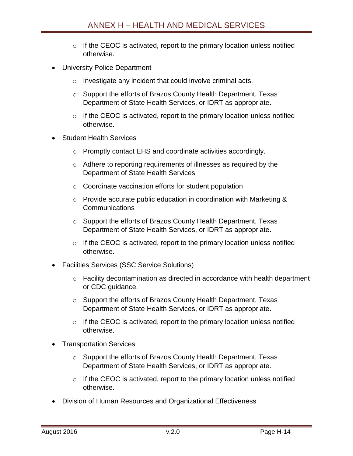- $\circ$  If the CEOC is activated, report to the primary location unless notified otherwise.
- University Police Department
	- o Investigate any incident that could involve criminal acts.
	- o Support the efforts of Brazos County Health Department, Texas Department of State Health Services, or IDRT as appropriate.
	- $\circ$  If the CEOC is activated, report to the primary location unless notified otherwise.
- Student Health Services
	- o Promptly contact EHS and coordinate activities accordingly.
	- o Adhere to reporting requirements of illnesses as required by the Department of State Health Services
	- $\circ$  Coordinate vaccination efforts for student population
	- o Provide accurate public education in coordination with Marketing & Communications
	- o Support the efforts of Brazos County Health Department, Texas Department of State Health Services, or IDRT as appropriate.
	- $\circ$  If the CEOC is activated, report to the primary location unless notified otherwise.
- Facilities Services (SSC Service Solutions)
	- o Facility decontamination as directed in accordance with health department or CDC guidance.
	- o Support the efforts of Brazos County Health Department, Texas Department of State Health Services, or IDRT as appropriate.
	- $\circ$  If the CEOC is activated, report to the primary location unless notified otherwise.
- Transportation Services
	- o Support the efforts of Brazos County Health Department, Texas Department of State Health Services, or IDRT as appropriate.
	- $\circ$  If the CEOC is activated, report to the primary location unless notified otherwise.
- Division of Human Resources and Organizational Effectiveness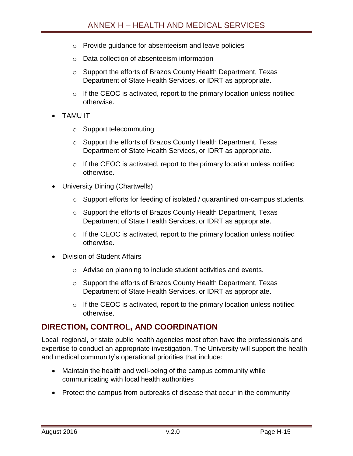- o Provide guidance for absenteeism and leave policies
- o Data collection of absenteeism information
- o Support the efforts of Brazos County Health Department, Texas Department of State Health Services, or IDRT as appropriate.
- $\circ$  If the CEOC is activated, report to the primary location unless notified otherwise.
- TAMU IT
	- o Support telecommuting
	- o Support the efforts of Brazos County Health Department, Texas Department of State Health Services, or IDRT as appropriate.
	- $\circ$  If the CEOC is activated, report to the primary location unless notified otherwise.
- University Dining (Chartwells)
	- o Support efforts for feeding of isolated / quarantined on-campus students.
	- o Support the efforts of Brazos County Health Department, Texas Department of State Health Services, or IDRT as appropriate.
	- $\circ$  If the CEOC is activated, report to the primary location unless notified otherwise.
- Division of Student Affairs
	- o Advise on planning to include student activities and events.
	- o Support the efforts of Brazos County Health Department, Texas Department of State Health Services, or IDRT as appropriate.
	- $\circ$  If the CEOC is activated, report to the primary location unless notified otherwise.

## <span id="page-15-0"></span>**DIRECTION, CONTROL, AND COORDINATION**

Local, regional, or state public health agencies most often have the professionals and expertise to conduct an appropriate investigation. The University will support the health and medical community's operational priorities that include:

- Maintain the health and well-being of the campus community while communicating with local health authorities
- Protect the campus from outbreaks of disease that occur in the community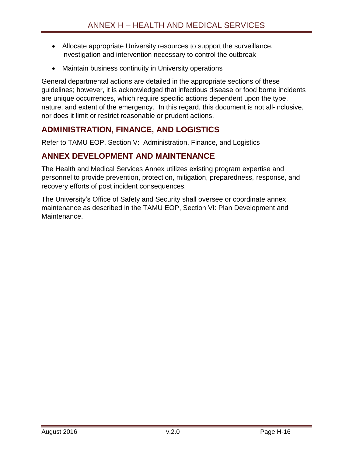- Allocate appropriate University resources to support the surveillance, investigation and intervention necessary to control the outbreak
- Maintain business continuity in University operations

General departmental actions are detailed in the appropriate sections of these guidelines; however, it is acknowledged that infectious disease or food borne incidents are unique occurrences, which require specific actions dependent upon the type, nature, and extent of the emergency. In this regard, this document is not all-inclusive, nor does it limit or restrict reasonable or prudent actions.

# <span id="page-16-0"></span>**ADMINISTRATION, FINANCE, AND LOGISTICS**

Refer to TAMU EOP, Section V: Administration, Finance, and Logistics

# <span id="page-16-1"></span>**ANNEX DEVELOPMENT AND MAINTENANCE**

The Health and Medical Services Annex utilizes existing program expertise and personnel to provide prevention, protection, mitigation, preparedness, response, and recovery efforts of post incident consequences.

The University's Office of Safety and Security shall oversee or coordinate annex maintenance as described in the TAMU EOP, Section VI: Plan Development and **Maintenance**